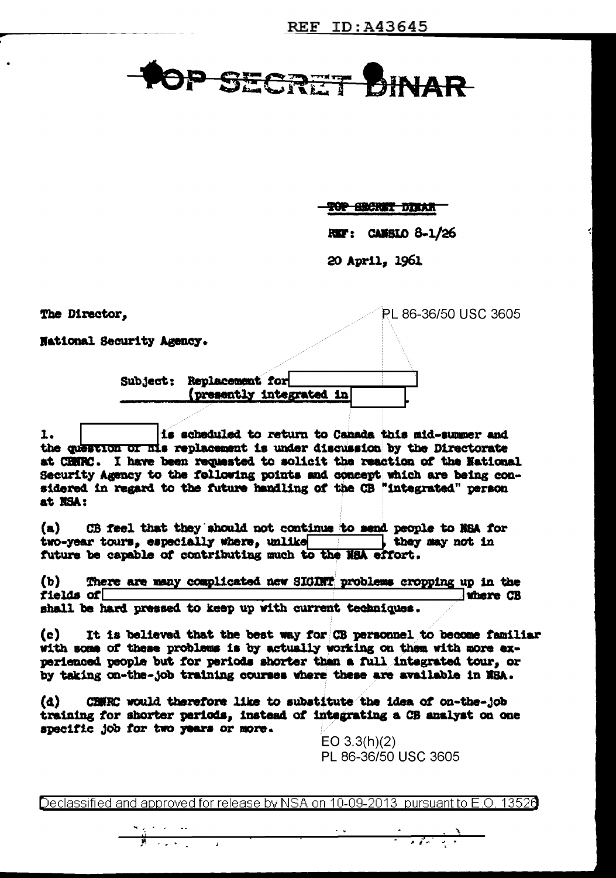## OP SECRET DINAR

**TOP BROKET DINAR** 

REF: CANSIO 8-1/26

PL 86-36/50 USC 3605

20 April. 1961

The Director,

**National Security Agency.** 

Subject: Replacement for (presently integrated in

1. is scheduled to return to Canada this mid-summer and the question of his replacement is under discussion by the Directorate at CHNRC. I have been requested to solicit the reaction of the National Security Agency to the following points and concept which are being considered in regard to the future handling of the CB "integrated" person at NSA:

 $(a)$ CB feel that they should not continue to send people to NSA for two-year tours, especially where, unlike which they may not in future be capable of contributing much to the NSA effort.

There are many complicated new SIGIRT problems cropping up in the  $(b)$ fields of  $\Box$ where CB shall be hard pressed to keep up with current techniques.

It is believed that the best way for CB personnel to become familiar  $(c)$ with some of these problems is by actually working on them with more experienced people but for periods shorter than a full integrated tour, or by taking on-the-job training courses where these are available in NSA.

CRWRC would therefore like to substitute the idea of on-the-job (d) training for shorter periods, instead of integrating a CB analyst on one specific job for two years or more.

> $EO 3.3(h)(2)$ PL 86-36/50 USC 3605

> > $\frac{1}{\sqrt{2\pi}\left(\frac{1}{\sqrt{2\pi}\sqrt{2\pi}}\right)^{2}}\left(\frac{1}{\sqrt{2\pi}\sqrt{2\pi}}\right)^{2}\left(\frac{1}{\sqrt{2\pi}}\right)^{2}\left(\frac{1}{\sqrt{2\pi}}\right)^{2}\left(\frac{1}{\sqrt{2\pi}}\right)^{2}\left(\frac{1}{\sqrt{2\pi}}\right)^{2}\left(\frac{1}{\sqrt{2\pi}}\right)^{2}\left(\frac{1}{\sqrt{2\pi}}\right)^{2}\left(\frac{1}{\sqrt{2\pi}}\right)^{2}\left(\frac{1}{\sqrt{2\pi}}\right)^{2}\left(\frac{1$

Declassified and approved for release by NSA on 10-09-2013 pursuant to E.O. 13526